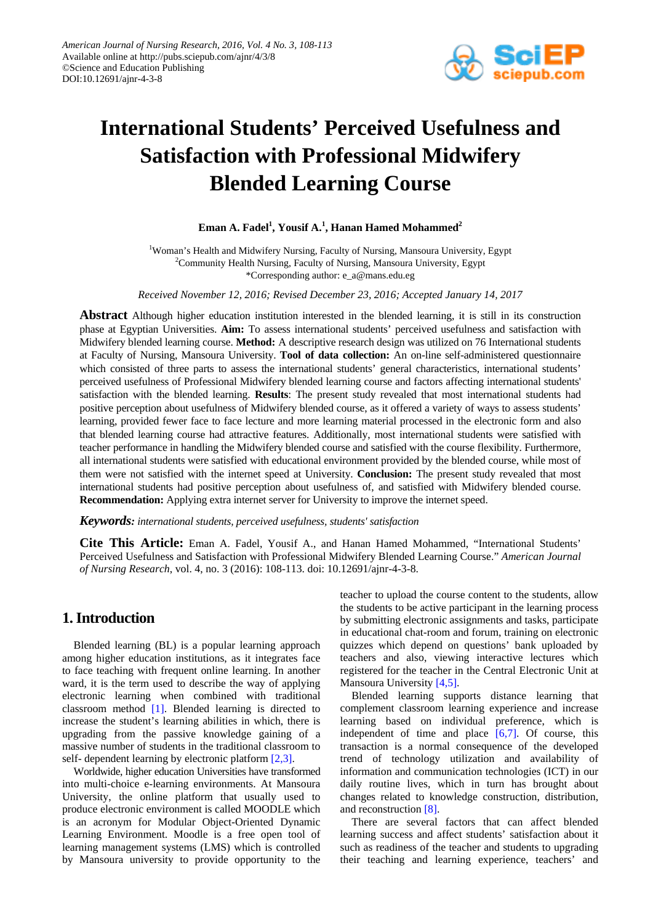

# **International Students' Perceived Usefulness and Satisfaction with Professional Midwifery Blended Learning Course**

## $\boldsymbol{\mathrm{E}}$ man A. Fadel<sup>1</sup>, Yousif A.<sup>1</sup>, Hanan Hamed Mohammed<sup>2</sup>

<sup>1</sup>Woman's Health and Midwifery Nursing, Faculty of Nursing, Mansoura University, Egypt <sup>2</sup>Community Health Nursing, Faculty of Nursing, Mansoura University, Egypt \*Corresponding author: e\_a@mans.edu.eg

*Received November 12, 2016; Revised December 23, 2016; Accepted January 14, 2017*

**Abstract** Although higher education institution interested in the blended learning, it is still in its construction phase at Egyptian Universities. **Aim:** To assess international students' perceived usefulness and satisfaction with Midwifery blended learning course. **Method:** A descriptive research design was utilized on 76 International students at Faculty of Nursing, Mansoura University. **Tool of data collection:** An on-line self-administered questionnaire which consisted of three parts to assess the international students' general characteristics, international students' perceived usefulness of Professional Midwifery blended learning course and factors affecting international students' satisfaction with the blended learning. **Results**: The present study revealed that most international students had positive perception about usefulness of Midwifery blended course, as it offered a variety of ways to assess students' learning, provided fewer face to face lecture and more learning material processed in the electronic form and also that blended learning course had attractive features. Additionally, most international students were satisfied with teacher performance in handling the Midwifery blended course and satisfied with the course flexibility. Furthermore, all international students were satisfied with educational environment provided by the blended course, while most of them were not satisfied with the internet speed at University. **Conclusion:** The present study revealed that most international students had positive perception about usefulness of, and satisfied with Midwifery blended course. **Recommendation:** Applying extra internet server for University to improve the internet speed.

*Keywords: international students, perceived usefulness, students' satisfaction*

**Cite This Article:** Eman A. Fadel, Yousif A., and Hanan Hamed Mohammed, "International Students' Perceived Usefulness and Satisfaction with Professional Midwifery Blended Learning Course." *American Journal of Nursing Research*, vol. 4, no. 3 (2016): 108-113. doi: 10.12691/ajnr-4-3-8.

# **1. Introduction**

Blended learning (BL) is a popular learning approach among higher education institutions, as it integrates face to face teaching with frequent online learning. In another ward, it is the term used to describe the way of applying electronic learning when combined with traditional classroom method [\[1\].](#page-5-0) Blended learning is directed to increase the student's learning abilities in which, there is upgrading from the passive knowledge gaining of a massive number of students in the traditional classroom to self- dependent learning by electronic platform [2,3].

Worldwide, higher education Universities have transformed into multi-choice e-learning environments. At Mansoura University, the online platform that usually used to produce electronic environment is called MOODLE which is an acronym for Modular Object-Oriented Dynamic Learning Environment. Moodle is a free open tool of learning management systems (LMS) which is controlled by Mansoura university to provide opportunity to the teacher to upload the course content to the students, allow the students to be active participant in the learning process by submitting electronic assignments and tasks, participate in educational chat-room and forum, training on electronic quizzes which depend on questions' bank uploaded by teachers and also, viewing interactive lectures which registered for the teacher in the Central Electronic Unit at Mansoura University [\[4,5\].](#page-5-2)

Blended learning supports distance learning that complement classroom learning experience and increase learning based on individual preference, which is independent of time and place  $[6,7]$ . Of course, this transaction is a normal consequence of the developed trend of technology utilization and availability of information and communication technologies (ICT) in our daily routine lives, which in turn has brought about changes related to knowledge construction, distribution, and reconstruction [\[8\].](#page-5-4)

There are several factors that can affect blended learning success and affect students' satisfaction about it such as readiness of the teacher and students to upgrading their teaching and learning experience, teachers' and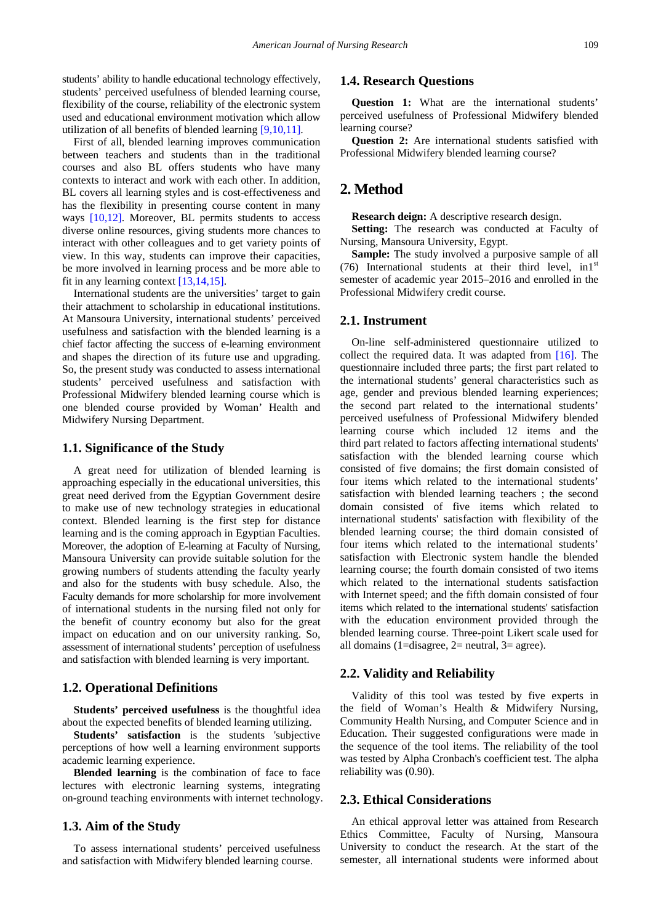students' ability to handle educational technology effectively, students' perceived usefulness of blended learning course, flexibility of the course, reliability of the electronic system used and educational environment motivation which allow utilization of all benefits of blended learning [\[9,10,11\].](#page-5-5)

First of all, blended learning improves communication between teachers and students than in the traditional courses and also BL offers students who have many contexts to interact and work with each other. In addition, BL covers all learning styles and is cost-effectiveness and has the flexibility in presenting course content in many ways [\[10,12\].](#page-5-6) Moreover, BL permits students to access diverse online resources, giving students more chances to interact with other colleagues and to get variety points of view. In this way, students can improve their capacities, be more involved in learning process and be more able to fit in any learning contex[t \[13,14,15\].](#page-5-7)

International students are the universities' target to gain their attachment to scholarship in educational institutions. At Mansoura University, international students' perceived usefulness and satisfaction with the blended learning is a chief factor affecting the success of e-learning environment and shapes the direction of its future use and upgrading. So, the present study was conducted to assess international students' perceived usefulness and satisfaction with Professional Midwifery blended learning course which is one blended course provided by Woman' Health and Midwifery Nursing Department.

#### **1.1. Significance of the Study**

A great need for utilization of blended learning is approaching especially in the educational universities, this great need derived from the Egyptian Government desire to make use of new technology strategies in educational context. Blended learning is the first step for distance learning and is the coming approach in Egyptian Faculties. Moreover, the adoption of E-learning at Faculty of Nursing, Mansoura University can provide suitable solution for the growing numbers of students attending the faculty yearly and also for the students with busy schedule. Also, the Faculty demands for more scholarship for more involvement of international students in the nursing filed not only for the benefit of country economy but also for the great impact on education and on our university ranking. So, assessment of international students' perception of usefulness and satisfaction with blended learning is very important.

#### **1.2. Operational Definitions**

**Students' perceived usefulness** is the thoughtful idea about the expected benefits of blended learning utilizing.

**Students' satisfaction** is the students 'subjective perceptions of how well a learning environment supports academic learning experience.

**Blended learning** is the combination of face to face lectures with electronic learning systems, integrating on-ground teaching environments with internet technology.

#### **1.3. Aim of the Study**

To assess international students' perceived usefulness and satisfaction with Midwifery blended learning course.

#### **1.4. Research Questions**

**Question 1:** What are the international students' perceived usefulness of Professional Midwifery blended learning course?

**Question 2:** Are international students satisfied with Professional Midwifery blended learning course?

## **2. Method**

**Research deign:** A descriptive research design.

**Setting:** The research was conducted at Faculty of Nursing, Mansoura University, Egypt.

**Sample:** The study involved a purposive sample of all (76) International students at their third level,  $\text{in1}^{\text{st}}$ semester of academic year 2015–2016 and enrolled in the Professional Midwifery credit course.

#### **2.1. Instrument**

On-line self-administered questionnaire utilized to collect the required data. It was adapted from [\[16\].](#page-5-8) The questionnaire included three parts; the first part related to the international students' general characteristics such as age, gender and previous blended learning experiences; the second part related to the international students' perceived usefulness of Professional Midwifery blended learning course which included 12 items and the third part related to factors affecting international students' satisfaction with the blended learning course which consisted of five domains; the first domain consisted of four items which related to the international students' satisfaction with blended learning teachers ; the second domain consisted of five items which related to international students' satisfaction with flexibility of the blended learning course; the third domain consisted of four items which related to the international students' satisfaction with Electronic system handle the blended learning course; the fourth domain consisted of two items which related to the international students satisfaction with Internet speed; and the fifth domain consisted of four items which related to the international students' satisfaction with the education environment provided through the blended learning course. Three-point Likert scale used for all domains (1=disagree, 2= neutral, 3= agree).

#### **2.2. Validity and Reliability**

Validity of this tool was tested by five experts in the field of Woman's Health & Midwifery Nursing, Community Health Nursing, and Computer Science and in Education. Their suggested configurations were made in the sequence of the tool items. The reliability of the tool was tested by Alpha Cronbach's coefficient test. The alpha reliability was (0.90).

## **2.3. Ethical Considerations**

An ethical approval letter was attained from Research Ethics Committee, Faculty of Nursing, Mansoura University to conduct the research. At the start of the semester, all international students were informed about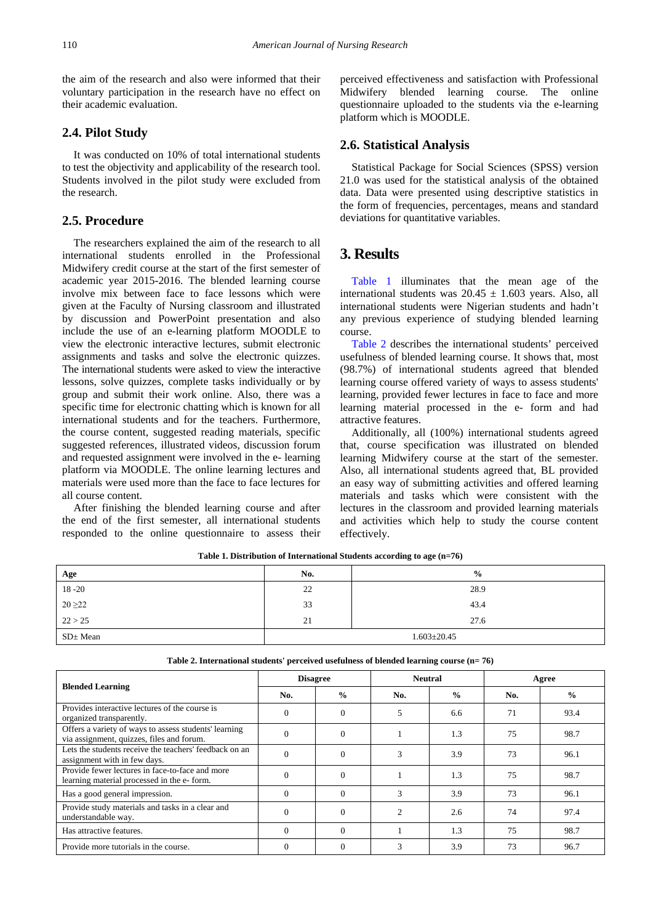the aim of the research and also were informed that their voluntary participation in the research have no effect on their academic evaluation.

#### **2.4. Pilot Study**

It was conducted on 10% of total international students to test the objectivity and applicability of the research tool. Students involved in the pilot study were excluded from the research.

## **2.5. Procedure**

The researchers explained the aim of the research to all international students enrolled in the Professional Midwifery credit course at the start of the first semester of academic year 2015-2016. The blended learning course involve mix between face to face lessons which were given at the Faculty of Nursing classroom and illustrated by discussion and PowerPoint presentation and also include the use of an e-learning platform MOODLE to view the electronic interactive lectures, submit electronic assignments and tasks and solve the electronic quizzes. The international students were asked to view the interactive lessons, solve quizzes, complete tasks individually or by group and submit their work online. Also, there was a specific time for electronic chatting which is known for all international students and for the teachers. Furthermore, the course content, suggested reading materials, specific suggested references, illustrated videos, discussion forum and requested assignment were involved in the e- learning platform via MOODLE. The online learning lectures and materials were used more than the face to face lectures for all course content.

After finishing the blended learning course and after the end of the first semester, all international students responded to the online questionnaire to assess their

perceived effectiveness and satisfaction with Professional Midwifery blended learning course. The online questionnaire uploaded to the students via the e-learning platform which is MOODLE.

#### **2.6. Statistical Analysis**

Statistical Package for Social Sciences (SPSS) version 21.0 was used for the statistical analysis of the obtained data. Data were presented using descriptive statistics in the form of frequencies, percentages, means and standard deviations for quantitative variables.

## **3. Results**

[Table 1](#page-2-0) illuminates that the mean age of the international students was  $20.45 \pm 1.603$  years. Also, all international students were Nigerian students and hadn't any previous experience of studying blended learning course.

[Table 2](#page-2-1) describes the international students' perceived usefulness of blended learning course. It shows that, most (98.7%) of international students agreed that blended learning course offered variety of ways to assess students' learning, provided fewer lectures in face to face and more learning material processed in the e- form and had attractive features.

<span id="page-2-0"></span>Additionally, all (100%) international students agreed that, course specification was illustrated on blended learning Midwifery course at the start of the semester. Also, all international students agreed that, BL provided an easy way of submitting activities and offered learning materials and tasks which were consistent with the lectures in the classroom and provided learning materials and activities which help to study the course content effectively.

| Age           | No.               | $\frac{0}{0}$ |  |  |
|---------------|-------------------|---------------|--|--|
| $18 - 20$     | 22                | 28.9          |  |  |
| $20 \ge 22$   | 33                | 43.4          |  |  |
| 22 > 25       | 21                | 27.6          |  |  |
| $SD \pm Mean$ | $1.603 \pm 20.45$ |               |  |  |

**Table 2. International students' perceived usefulness of blended learning course (n= 76)**

**Table 1. Distribution of International Students according to age (n=76)**

<span id="page-2-1"></span>

| <b>Blended Learning</b>                                                                            | <b>Disagree</b> |               | <b>Neutral</b> |               | Agree |               |  |  |  |  |
|----------------------------------------------------------------------------------------------------|-----------------|---------------|----------------|---------------|-------|---------------|--|--|--|--|
|                                                                                                    | No.             | $\frac{0}{0}$ | No.            | $\frac{0}{0}$ | No.   | $\frac{0}{0}$ |  |  |  |  |
| Provides interactive lectures of the course is<br>organized transparently.                         | $\Omega$        | $\Omega$      | 5              | 6.6           | 71    | 93.4          |  |  |  |  |
| Offers a variety of ways to assess students' learning<br>via assignment, quizzes, files and forum. | $\Omega$        | $\Omega$      |                | 1.3           | 75    | 98.7          |  |  |  |  |
| Lets the students receive the teachers' feedback on an<br>assignment with in few days.             | $\Omega$        | $\Omega$      | 3              | 3.9           | 73    | 96.1          |  |  |  |  |
| Provide fewer lectures in face-to-face and more<br>learning material processed in the e- form.     | $\Omega$        | $\theta$      |                | 1.3           | 75    | 98.7          |  |  |  |  |
| Has a good general impression.                                                                     | $\Omega$        | $\Omega$      | 3              | 3.9           | 73    | 96.1          |  |  |  |  |
| Provide study materials and tasks in a clear and<br>understandable way.                            | $\Omega$        | $\theta$      | 2              | 2.6           | 74    | 97.4          |  |  |  |  |
| Has attractive features.                                                                           | $\Omega$        | $\theta$      |                | 1.3           | 75    | 98.7          |  |  |  |  |
| Provide more tutorials in the course.                                                              | $\Omega$        | $\theta$      | 3              | 3.9           | 73    | 96.7          |  |  |  |  |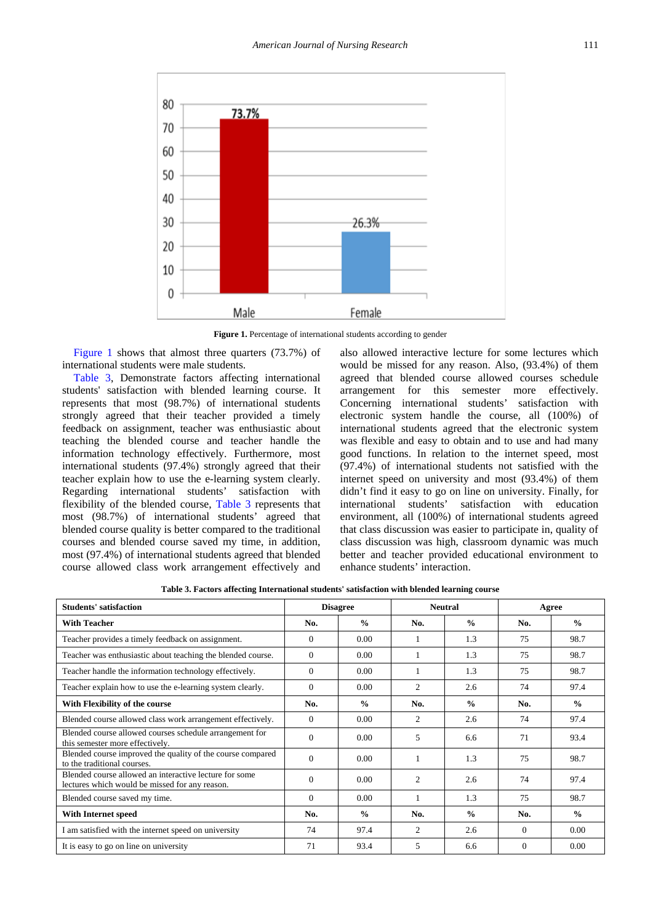<span id="page-3-0"></span>

Figure 1. Percentage of international students according to gender

[Figure 1](#page-3-0) shows that almost three quarters (73.7%) of international students were male students.

[Table 3,](#page-3-1) Demonstrate factors affecting international students' satisfaction with blended learning course. It represents that most (98.7%) of international students strongly agreed that their teacher provided a timely feedback on assignment, teacher was enthusiastic about teaching the blended course and teacher handle the information technology effectively. Furthermore, most international students (97.4%) strongly agreed that their teacher explain how to use the e-learning system clearly. Regarding international students' satisfaction with flexibility of the blended course, [Table 3](#page-3-1) represents that most (98.7%) of international students' agreed that blended course quality is better compared to the traditional courses and blended course saved my time, in addition, most (97.4%) of international students agreed that blended course allowed class work arrangement effectively and

<span id="page-3-1"></span>also allowed interactive lecture for some lectures which would be missed for any reason. Also, (93.4%) of them agreed that blended course allowed courses schedule arrangement for this semester more effectively. Concerning international students' satisfaction with electronic system handle the course, all (100%) of international students agreed that the electronic system was flexible and easy to obtain and to use and had many good functions. In relation to the internet speed, most (97.4%) of international students not satisfied with the internet speed on university and most (93.4%) of them didn't find it easy to go on line on university. Finally, for international students' satisfaction with education environment, all (100%) of international students agreed that class discussion was easier to participate in, quality of class discussion was high, classroom dynamic was much better and teacher provided educational environment to enhance students' interaction.

**Table 3. Factors affecting International students' satisfaction with blended learning course**

| <b>Students' satisfaction</b>                                                                            | <b>Disagree</b> |               | <b>Neutral</b> |               | Agree    |               |
|----------------------------------------------------------------------------------------------------------|-----------------|---------------|----------------|---------------|----------|---------------|
| <b>With Teacher</b>                                                                                      | No.             | $\frac{0}{0}$ | No.            | $\frac{0}{0}$ | No.      | $\frac{0}{0}$ |
| Teacher provides a timely feedback on assignment.                                                        | $\Omega$        | 0.00          | 1              | 1.3           | 75       | 98.7          |
| Teacher was enthusiastic about teaching the blended course.                                              | $\Omega$        | 0.00          |                | 1.3           | 75       | 98.7          |
| Teacher handle the information technology effectively.                                                   | $\Omega$        | 0.00          |                | 1.3           | 75       | 98.7          |
| Teacher explain how to use the e-learning system clearly.                                                | $\Omega$        | 0.00          | 2              | 2.6           | 74       | 97.4          |
| With Flexibility of the course                                                                           | No.             | $\frac{0}{0}$ | No.            | $\frac{0}{0}$ | No.      | $\frac{0}{0}$ |
| Blended course allowed class work arrangement effectively.                                               | $\Omega$        | 0.00          | 2              | 2.6           | 74       | 97.4          |
| Blended course allowed courses schedule arrangement for<br>this semester more effectively.               | $\Omega$        | 0.00          | 5              | 6.6           | 71       | 93.4          |
| Blended course improved the quality of the course compared<br>to the traditional courses.                | $\Omega$        | 0.00          | 1              | 1.3           | 75       | 98.7          |
| Blended course allowed an interactive lecture for some<br>lectures which would be missed for any reason. | $\Omega$        | 0.00          | 2              | 2.6           | 74       | 97.4          |
| Blended course saved my time.                                                                            | $\Omega$        | 0.00          | 1              | 1.3           | 75       | 98.7          |
| With Internet speed                                                                                      | No.             | $\frac{0}{0}$ | No.            | $\frac{0}{0}$ | No.      | $\frac{0}{0}$ |
| I am satisfied with the internet speed on university                                                     | 74              | 97.4          | 2              | 2.6           | $\Omega$ | 0.00          |
| It is easy to go on line on university                                                                   | 71              | 93.4          | 5              | 6.6           | $\Omega$ | 0.00          |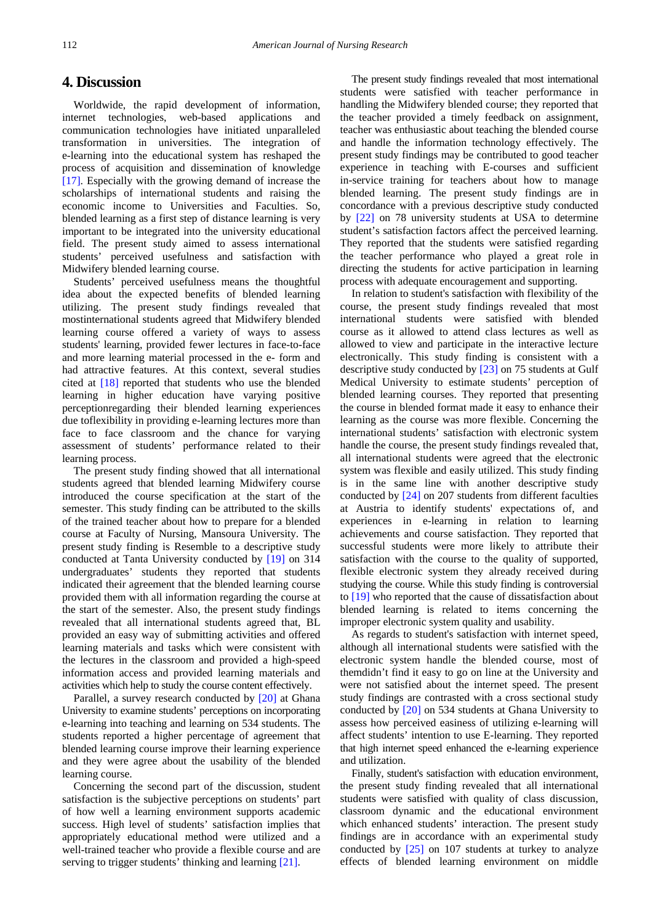## **4. Discussion**

Worldwide, the rapid development of information, internet technologies, web-based applications and communication technologies have initiated unparalleled transformation in universities. The integration of e-learning into the educational system has reshaped the process of acquisition and dissemination of knowledge [\[17\].](#page-5-9) Especially with the growing demand of increase the scholarships of international students and raising the economic income to Universities and Faculties. So, blended learning as a first step of distance learning is very important to be integrated into the university educational field. The present study aimed to assess international students' perceived usefulness and satisfaction with Midwifery blended learning course.

Students' perceived usefulness means the thoughtful idea about the expected benefits of blended learning utilizing. The present study findings revealed that mostinternational students agreed that Midwifery blended learning course offered a variety of ways to assess students' learning, provided fewer lectures in face-to-face and more learning material processed in the e- form and had attractive features. At this context, several studies cited at [\[18\]](#page-5-10) reported that students who use the blended learning in higher education have varying positive perceptionregarding their blended learning experiences due toflexibility in providing e-learning lectures more than face to face classroom and the chance for varying assessment of students' performance related to their learning process.

The present study finding showed that all international students agreed that blended learning Midwifery course introduced the course specification at the start of the semester. This study finding can be attributed to the skills of the trained teacher about how to prepare for a blended course at Faculty of Nursing, Mansoura University. The present study finding is Resemble to a descriptive study conducted at Tanta University conducted by [\[19\]](#page-5-11) on 314 undergraduates' students they reported that students indicated their agreement that the blended learning course provided them with all information regarding the course at the start of the semester. Also, the present study findings revealed that all international students agreed that, BL provided an easy way of submitting activities and offered learning materials and tasks which were consistent with the lectures in the classroom and provided a high-speed information access and provided learning materials and activities which help to study the course content effectively.

Parallel, a survey research conducted by [\[20\]](#page-5-12) at Ghana University to examine students' perceptions on incorporating e-learning into teaching and learning on 534 students. The students reported a higher percentage of agreement that blended learning course improve their learning experience and they were agree about the usability of the blended learning course.

Concerning the second part of the discussion, student satisfaction is the subjective perceptions on students' part of how well a learning environment supports academic success. High level of students' satisfaction implies that appropriately educational method were utilized and a well-trained teacher who provide a flexible course and are serving to trigger students' thinking and learnin[g \[21\].](#page-5-13)

The present study findings revealed that most international students were satisfied with teacher performance in handling the Midwifery blended course; they reported that the teacher provided a timely feedback on assignment, teacher was enthusiastic about teaching the blended course and handle the information technology effectively. The present study findings may be contributed to good teacher experience in teaching with E-courses and sufficient in-service training for teachers about how to manage blended learning. The present study findings are in concordance with a previous descriptive study conducted by [\[22\]](#page-5-14) on 78 university students at USA to determine student's satisfaction factors affect the perceived learning. They reported that the students were satisfied regarding the teacher performance who played a great role in directing the students for active participation in learning process with adequate encouragement and supporting.

In relation to student's satisfaction with flexibility of the course, the present study findings revealed that most international students were satisfied with blended course as it allowed to attend class lectures as well as allowed to view and participate in the interactive lecture electronically. This study finding is consistent with a descriptive study conducted by [\[23\]](#page-5-15) on 75 students at Gulf Medical University to estimate students' perception of blended learning courses. They reported that presenting the course in blended format made it easy to enhance their learning as the course was more flexible. Concerning the international students' satisfaction with electronic system handle the course, the present study findings revealed that, all international students were agreed that the electronic system was flexible and easily utilized. This study finding is in the same line with another descriptive study conducted by [\[24\]](#page-5-16) on 207 students from different faculties at Austria to identify students' expectations of, and experiences in e-learning in relation to learning achievements and course satisfaction. They reported that successful students were more likely to attribute their satisfaction with the course to the quality of supported, flexible electronic system they already received during studying the course. While this study finding is controversial to [\[19\]](#page-5-11) who reported that the cause of dissatisfaction about blended learning is related to items concerning the improper electronic system quality and usability.

As regards to student's satisfaction with internet speed, although all international students were satisfied with the electronic system handle the blended course, most of themdidn't find it easy to go on line at the University and were not satisfied about the internet speed. The present study findings are contrasted with a cross sectional study conducted by [\[20\]](#page-5-12) on 534 students at Ghana University to assess how perceived easiness of utilizing e-learning will affect students' intention to use E-learning. They reported that high internet speed enhanced the e-learning experience and utilization.

Finally, student's satisfaction with education environment, the present study finding revealed that all international students were satisfied with quality of class discussion, classroom dynamic and the educational environment which enhanced students' interaction. The present study findings are in accordance with an experimental study conducted by [\[25\]](#page-5-17) on 107 students at turkey to analyze effects of blended learning environment on middle